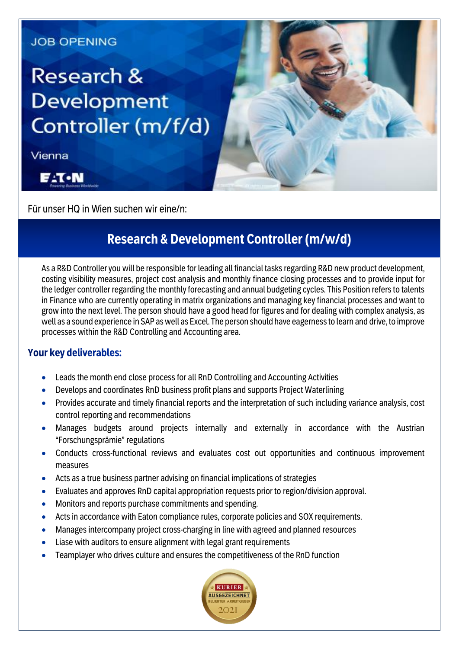### **JOB OPENING**

# **Research & Development** Controller (m/f/d)

Vienna



Für unser HQ in Wien suchen wir eine/n:

## **Research & Development Controller (m/w/d)**

As a R&D Controller you will be responsible for leading all financial tasks regarding R&D new product development, costing visibility measures, project cost analysis and monthly finance closing processes and to provide input for the ledger controller regarding the monthly forecasting and annual budgeting cycles. This Position refers to talents in Finance who are currently operating in matrix organizations and managing key financial processes and want to grow into the next level. The person should have a good head for figures and for dealing with complex analysis, as well as a sound experience in SAP as well as Excel. The person should have eagerness to learn and drive, to improve processes within the R&D Controlling and Accounting area.

#### **Your key deliverables:**

- **Leads the month end close process for all RnD Controlling and Accounting Activities**
- Develops and coordinates RnD business profit plans and supports Project Waterlining
- Provides accurate and timely financial reports and the interpretation of such including variance analysis, cost control reporting and recommendations
- Manages budgets around projects internally and externally in accordance with the Austrian "Forschungsprämie" regulations
- Conducts cross-functional reviews and evaluates cost out opportunities and continuous improvement measures
- Acts as a true business partner advising on financial implications of strategies
- Evaluates and approves RnD capital appropriation requests prior to region/division approval.
- Monitors and reports purchase commitments and spending.
- Acts in accordance with Eaton compliance rules, corporate policies and SOX requirements.
- Manages intercompany project cross-charging in line with agreed and planned resources
- Liase with auditors to ensure alignment with legal grant requirements
- Teamplayer who drives culture and ensures the competitiveness of the RnD function